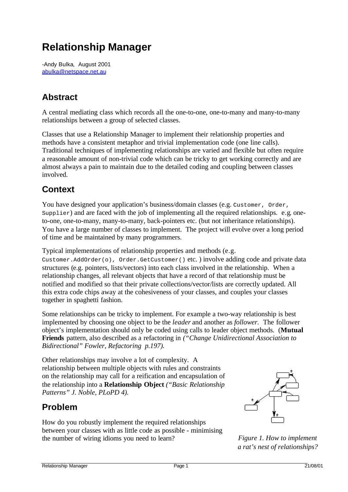# **Relationship Manager**

-Andy Bulka,August 2001 abulka@netspace.net.au

### **Abstract**

A central mediating class which records all the one-to-one, one-to-many and many-to-many relationships between a group of selected classes.

Classes that use a Relationship Manager to implement their relationship properties and methods have a consistent metaphor and trivial implementation code (one line calls). Traditional techniques of implementing relationships are varied and flexible but often require a reasonable amount of non-trivial code which can be tricky to get working correctly and are almost always a pain to maintain due to the detailed coding and coupling between classes involved.

### **Context**

You have designed your application's business/domain classes (e.g. Customer, Order,  $Supplier$ ) and are faced with the job of implementing all the required relationships. e.g. oneto-one, one-to-many, many-to-many, back-pointers etc. (but not inheritance relationships). You have a large number of classes to implement. The project will evolve over a long period of time and be maintained by many programmers.

Typical implementations of relationship properties and methods (e.g.

Customer.AddOrder(o), Order.GetCustomer() etc. ) involve adding code and private data structures (e.g. pointers, lists/vectors) into each class involved in the relationship. When a relationship changes, all relevant objects that have a record of that relationship must be notified and modified so that their private collections/vector/lists are correctly updated. All this extra code chips away at the cohesiveness of your classes, and couples your classes together in spaghetti fashion.

Some relationships can be tricky to implement. For example a two-way relationship is best implemented by choosing one object to be the *leader* and another as *follower.* The follower object's implementation should only be coded using calls to leader object methods. (**Mutual Friends** pattern, also described as a refactoring in *("Change Unidirectional Association to Bidirectional" Fowler, Refactoring p.197).*

Other relationships may involve a lot of complexity. A relationship between multiple objects with rules and constraints on the relationship may call for a reification and encapsulation of the relationship into a **Relationship Object** *("Basic Relationship Patterns" J. Noble, PLoPD 4).*

# **Problem**

How do you robustly implement the required relationships between your classes with as little code as possible - minimising the number of wiring idioms you need to learn? *Figure 1. How to implement*



*a rat's nest of relationships?*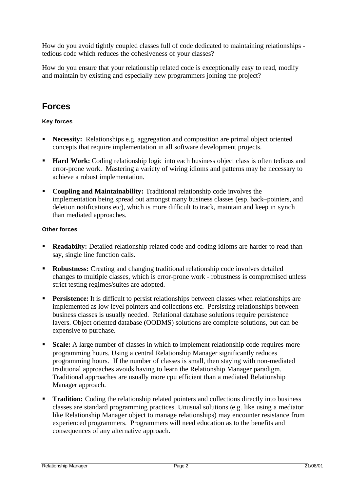How do you avoid tightly coupled classes full of code dedicated to maintaining relationships tedious code which reduces the cohesiveness of your classes?

How do you ensure that your relationship related code is exceptionally easy to read, modify and maintain by existing and especially new programmers joining the project?

### **Forces**

#### **Key forces**

- **Necessity:** Relationships e.g. aggregation and composition are primal object oriented concepts that require implementation in all software development projects.
- **Hard Work:** Coding relationship logic into each business object class is often tedious and error-prone work. Mastering a variety of wiring idioms and patterns may be necessary to achieve a robust implementation.
- **Coupling and Maintainability:** Traditional relationship code involves the implementation being spread out amongst many business classes (esp. back–pointers, and deletion notifications etc), which is more difficult to track, maintain and keep in synch than mediated approaches.

#### **Other forces**

- **Readabilty:** Detailed relationship related code and coding idioms are harder to read than say, single line function calls.
- **Robustness:** Creating and changing traditional relationship code involves detailed changes to multiple classes, which is error-prone work - robustness is compromised unless strict testing regimes/suites are adopted.
- **Persistence:** It is difficult to persist relationships between classes when relationships are implemented as low level pointers and collections etc. Persisting relationships between business classes is usually needed. Relational database solutions require persistence layers. Object oriented database (OODMS) solutions are complete solutions, but can be expensive to purchase.
- **Scale:** A large number of classes in which to implement relationship code requires more programming hours. Using a central Relationship Manager significantly reduces programming hours. If the number of classes is small, then staying with non-mediated traditional approaches avoids having to learn the Relationship Manager paradigm. Traditional approaches are usually more cpu efficient than a mediated Relationship Manager approach.
- **Tradition:** Coding the relationship related pointers and collections directly into business classes are standard programming practices. Unusual solutions (e.g. like using a mediator like Relationship Manager object to manage relationships) may encounter resistance from experienced programmers. Programmers will need education as to the benefits and consequences of any alternative approach.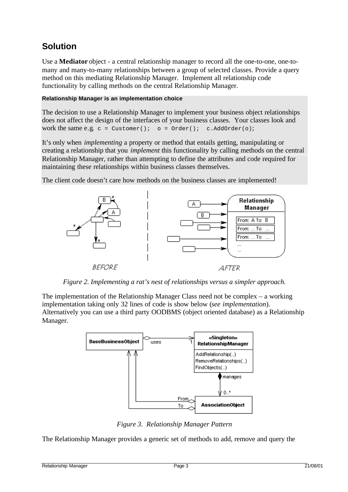# **Solution**

Use a **Mediator** object - a central relationship manager to record all the one-to-one, one-tomany and many-to-many relationships between a group of selected classes. Provide a query method on this mediating Relationship Manager. Implement all relationship code functionality by calling methods on the central Relationship Manager.

#### **Relationship Manager is an implementation choice**

The decision to use a Relationship Manager to implement your business object relationships does not affect the design of the interfaces of your business classes. Your classes look and work the same e.g.  $c =$  Customer();  $o =$  Order(); c.AddOrder(o);

It's only when *implementing* a property or method that entails getting, manipulating or creating a relationship that you *implement* this functionality by calling methods on the central Relationship Manager, rather than attempting to define the attributes and code required for maintaining these relationships within business classes themselves.

The client code doesn't care how methods on the business classes are implemented!



*Figure 2. Implementing a rat's nest of relationships versus a simpler approach.*

The implementation of the Relationship Manager Class need not be complex – a working implementation taking only 32 lines of code is show below (*see implementation*). Alternatively you can use a third party OODBMS (object oriented database) as a Relationship Manager.



*Figure 3. Relationship Manager Pattern*

The Relationship Manager provides a generic set of methods to add, remove and query the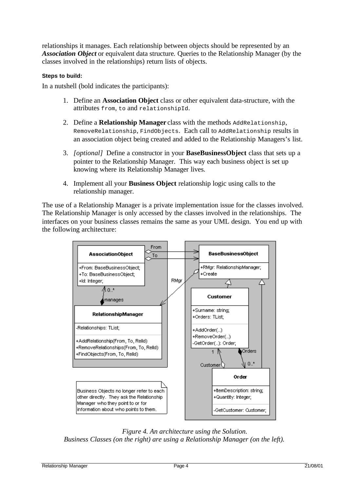relationships it manages. Each relationship between objects should be represented by an *Association Object* or equivalent data structure*.* Queries to the Relationship Manager (by the classes involved in the relationships) return lists of objects.

#### **Steps to build:**

In a nutshell (bold indicates the participants):

- 1. Define an **Association Object** class or other equivalent data-structure, with the attributes from, to and relationshipId.
- 2. Define a **Relationship Manager** class with the methods AddRelationship, RemoveRelationship, FindObjects. Each call to AddRelationship results in an association object being created and added to the Relationship Managers's list.
- 3. *[optional]* Define a constructor in your **BaseBusinessObject** class that sets up a pointer to the Relationship Manager. This way each business object is set up knowing where its Relationship Manager lives.
- 4. Implement all your **Business Object** relationship logic using calls to the relationship manager.

The use of a Relationship Manager is a private implementation issue for the classes involved. The Relationship Manager is only accessed by the classes involved in the relationships. The interfaces on your business classes remains the same as your UML design. You end up with the following architecture:



*Figure 4. An architecture using the Solution. Business Classes (on the right) are using a Relationship Manager (on the left).*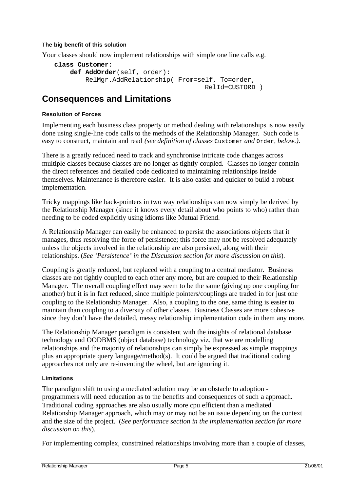#### **The big benefit of this solution**

Your classes should now implement relationships with simple one line calls e.g.

```
class Customer:
     def AddOrder(self, order):
         RelMgr.AddRelationship( From=self, To=order,
                                         RelId=CUSTORD )
```
### **Consequences and Limitations**

#### **Resolution of Forces**

Implementing each business class property or method dealing with relationships is now easily done using single-line code calls to the methods of the Relationship Manager. Such code is easy to construct, maintain and read *(see definition of classes* Customer *and* Order*, below.)*.

There is a greatly reduced need to track and synchronise intricate code changes across multiple classes because classes are no longer as tightly coupled. Classes no longer contain the direct references and detailed code dedicated to maintaining relationships inside themselves. Maintenance is therefore easier. It is also easier and quicker to build a robust implementation.

Tricky mappings like back-pointers in two way relationships can now simply be derived by the Relationship Manager (since it knows every detail about who points to who) rather than needing to be coded explicitly using idioms like Mutual Friend.

A Relationship Manager can easily be enhanced to persist the associations objects that it manages, thus resolving the force of persistence; this force may not be resolved adequately unless the objects involved in the relationship are also persisted, along with their relationships. (*See 'Persistence' in the Discussion section for more discussion on this*).

Coupling is greatly reduced, but replaced with a coupling to a central mediator. Business classes are not tightly coupled to each other any more, but are coupled to their Relationship Manager. The overall coupling effect may seem to be the same (giving up one coupling for another) but it is in fact reduced, since multiple pointers/couplings are traded in for just one coupling to the Relationship Manager. Also, a coupling to the one, same thing is easier to maintain than coupling to a diversity of other classes. Business Classes are more cohesive since they don't have the detailed, messy relationship implementation code in them any more.

The Relationship Manager paradigm is consistent with the insights of relational database technology and OODBMS (object database) technology viz. that we are modelling relationships and the majority of relationships can simply be expressed as simple mappings plus an appropriate query language/method(s). It could be argued that traditional coding approaches not only are re-inventing the wheel, but are ignoring it.

#### **Limitations**

The paradigm shift to using a mediated solution may be an obstacle to adoption programmers will need education as to the benefits and consequences of such a approach. Traditional coding approaches are also usually more cpu efficient than a mediated Relationship Manager approach, which may or may not be an issue depending on the context and the size of the project. (*See performance section in the implementation section for more discussion on this*).

For implementing complex, constrained relationships involving more than a couple of classes,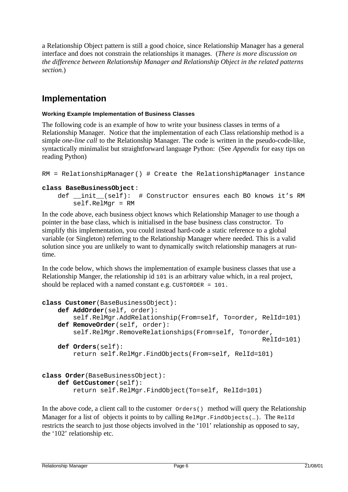a Relationship Object pattern is still a good choice, since Relationship Manager has a general interface and does not constrain the relationships it manages. (*There is more discussion on the difference between Relationship Manager and Relationship Object in the related patterns section.*)

# **Implementation**

#### **Working Example Implementation of Business Classes**

The following code is an example of how to write your business classes in terms of a Relationship Manager. Notice that the implementation of each Class relationship method is a simple *one-line call* to the Relationship Manager. The code is written in the pseudo-code-like, syntactically minimalist but straightforward language Python: (See *Appendix* for easy tips on reading Python)

```
RM = RelationshipManager() # Create the RelationshipManager instance
```
#### **class BaseBusinessObject**:

```
def __init (self): # Constructor ensures each BO knows it's RM
     self.RelMgr = RM
```
In the code above, each business object knows which Relationship Manager to use though a pointer in the base class, which is initialised in the base business class constructor. To simplify this implementation, you could instead hard-code a static reference to a global variable (or Singleton) referring to the Relationship Manager where needed. This is a valid solution since you are unlikely to want to dynamically switch relationship managers at runtime.

In the code below, which shows the implementation of example business classes that use a Relationship Manger, the relationship id 101 is an arbitrary value which, in a real project, should be replaced with a named constant e.g. CUSTORDER = 101.

```
class Customer(BaseBusinessObject):
     def AddOrder(self, order):
         self.RelMgr.AddRelationship(From=self, To=order, RelId=101)
     def RemoveOrder(self, order):
         self.RelMgr.RemoveRelationships(From=self, To=order,
                                                            RelId=101)
     def Orders(self):
         return self.RelMgr.FindObjects(From=self, RelId=101)
class Order(BaseBusinessObject):
     def GetCustomer(self):
         return self.RelMgr.FindObject(To=self, RelId=101)
```
In the above code, a client call to the customer  $\alpha$  orders() method will query the Relationship Manager for a list of objects it points to by calling  $\text{RelMgr.FindObjects}(\ldots)$ . The RelId restricts the search to just those objects involved in the '101' relationship as opposed to say, the '102' relationship etc.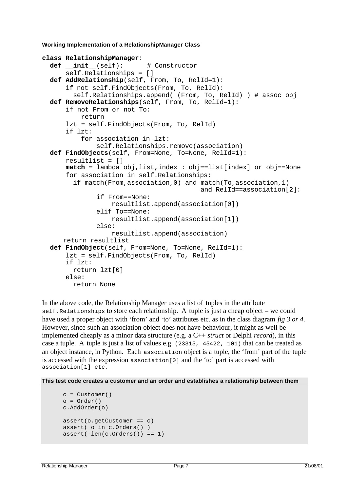**Working Implementation of a RelationshipManager Class**

```
class RelationshipManager:
   def __init__(self): # Constructor
       self.Relationships = []
   def AddRelationship(self, From, To, RelId=1):
       if not self.FindObjects(From, To, RelId):
         self.Relationships.append( (From, To, RelId) ) # assoc obj
   def RemoveRelationships(self, From, To, RelId=1):
       if not From or not To:
           return
       lzt = self.FindObjects(From, To, RelId)
       if lzt:
           for association in lzt:
               self.Relationships.remove(association)
   def FindObjects(self, From=None, To=None, RelId=1):
       resultlist = []
       match = lambda obj,list,index : obj==list[index] or obj==None
       for association in self.Relationships:
         if match(From,association,0) and match(To,association,1)
                                            and RelId==association[2]:
               if From==None:
                   resultlist.append(association[0])
               elif To==None:
                   resultlist.append(association[1])
               else:
                   resultlist.append(association)
     return resultlist
   def FindObject(self, From=None, To=None, RelId=1):
       lzt = self.FindObjects(From, To, RelId)
       if lzt:
         return lzt[0]
       else:
         return None
```
In the above code, the Relationship Manager uses a list of tuples in the attribute self. Relationships to store each relationship. A tuple is just a cheap object – we could have used a proper object with 'from' and 'to' attributes etc. as in the class diagram *fig 3 or 4*. However, since such an association object does not have behaviour, it might as well be implemented cheaply as a minor data structure (e.g. a C++ *struct* or Delphi *record*), in this case a tuple. A tuple is just a list of values e.g. (23315, 45422, 101) that can be treated as an object instance, in Python. Each association object is a tuple, the 'from' part of the tuple is accessed with the expression association[0] and the 'to' part is accessed with association[1] etc.

**This test code creates a customer and an order and establishes a relationship between them**

```
c = Customer()
o = Order()c.AddOrder(o)
assert(o.getCustomer == c)assert( o in c.Orders() )
assert( len(c.orders()) == 1)
```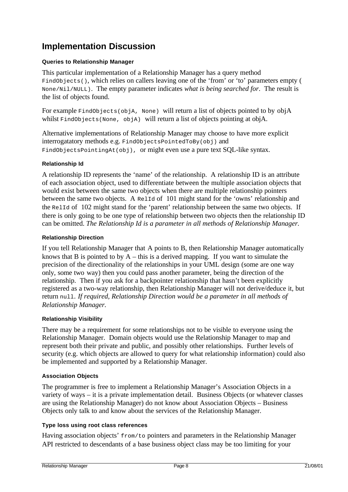# **Implementation Discussion**

#### **Queries to Relationship Manager**

This particular implementation of a Relationship Manager has a query method FindObjects(), which relies on callers leaving one of the 'from' or 'to' parameters empty ( None/Nil/NULL). The empty parameter indicates *what is being searched for*. The result is the list of objects found.

For example FindObjects(objA, None) will return a list of objects pointed to by objA whilst FindObjects(None, objA) will return a list of objects pointing at objA.

Alternative implementations of Relationship Manager may choose to have more explicit interrogatatory methods e.g. FindObjectsPointedToBy(obj) and FindObjectsPointingAt(obj), or might even use a pure text SQL-like syntax.

#### **Relationship Id**

A relationship ID represents the 'name' of the relationship. A relationship ID is an attribute of each association object, used to differentiate between the multiple association objects that would exist between the same two objects when there are multiple relationship pointers between the same two objects. A RelId of 101 might stand for the 'owns' relationship and the RelId of 102 might stand for the 'parent' relationship between the same two objects. If there is only going to be one type of relationship between two objects then the relationship ID can be omitted. *The Relationship Id is a parameter in all methods of Relationship Manager.*

#### **Relationship Direction**

If you tell Relationship Manager that A points to B, then Relationship Manager automatically knows that B is pointed to by  $A$  – this is a derived mapping. If you want to simulate the precision of the directionality of the relationships in your UML design (some are one way only, some two way) then you could pass another parameter, being the direction of the relationship. Then if you ask for a backpointer relationship that hasn't been explicitly registered as a two-way relationship, then Relationship Manager will not derive/deduce it, but return null. *If required, Relationship Direction would be a parameter in all methods of Relationship Manager.*

#### **Relationship Visibility**

There may be a requirement for some relationships not to be visible to everyone using the Relationship Manager. Domain objects would use the Relationship Manager to map and represent both their private and public, and possibly other relationships. Further levels of security (e.g. which objects are allowed to query for what relationship information) could also be implemented and supported by a Relationship Manager.

#### **Association Objects**

The programmer is free to implement a Relationship Manager's Association Objects in a variety of ways – it is a private implementation detail. Business Objects (or whatever classes are using the Relationship Manager) do not know about Association Objects – Business Objects only talk to and know about the services of the Relationship Manager.

#### **Type loss using root class references**

Having association objects' from/to pointers and parameters in the Relationship Manager API restricted to descendants of a base business object class may be too limiting for your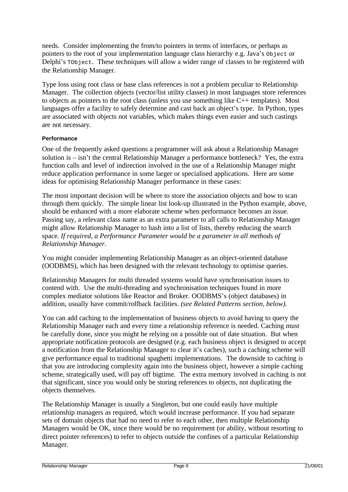needs. Consider implementing the from/to pointers in terms of interfaces, or perhaps as pointers to the root of your implementation language class hierarchy e.g. Java's Object or Delphi's TObject. These techniques will allow a wider range of classes to be registered with the Relationship Manager.

Type loss using root class or base class references is not a problem peculiar to Relationship Manager. The collection objects (vector/list utility classes) in most languages store references to objects as pointers to the root class (unless you use something like C++ templates). Most languages offer a facility to safely determine and cast back an object's type. In Python, types are associated with objects not variables, which makes things even easier and such castings are not necessary.

#### **Performance**

One of the frequently asked questions a programmer will ask about a Relationship Manager solution is – isn't the central Relationship Manager a performance bottleneck? Yes, the extra function calls and level of indirection involved in the use of a Relationship Manager might reduce application performance in some larger or specialised applications. Here are some ideas for optimising Relationship Manager performance in these cases:

The most important decision will be where to store the association objects and how to scan through them quickly. The simple linear list look-up illustrated in the Python example, above, should be enhanced with a more elaborate scheme when performance becomes an issue. Passing say, a relevant class name as an extra parameter to all calls to Relationship Manager might allow Relationship Manager to hash into a list of lists, thereby reducing the search space. *If required, a Performance Parameter would be a parameter in all methods of Relationship Manager.*

You might consider implementing Relationship Manager as an object-oriented database (OODBMS), which has been designed with the relevant technology to optimise queries.

Relationship Managers for multi threaded systems would have synchronisation issues to contend with. Use the multi-threading and synchronisation techniques found in more complex mediator solutions like Reactor and Broker. OODBMS's (object databases) in addition, usually have commit/rollback facilities. *(see Related Patterns section, below)*.

You can add caching to the implementation of business objects to avoid having to query the Relationship Manager each and every time a relationship reference is needed. Caching must be carefully done, since you might be relying on a possible out of date situation. But when appropriate notification protocols are designed (e.g. each business object is designed to accept a notification from the Relationship Manager to clear it's caches), such a caching scheme will give performance equal to traditional spaghetti implementations. The downside to caching is that you are introducing complexity again into the business object, however a simple caching scheme, strategically used, will pay off bigtime. The extra memory involved in caching is not that significant, since you would only be storing references to objects, not duplicating the objects themselves.

The Relationship Manager is usually a Singleton, but one could easily have multiple relationship managers as required, which would increase performance. If you had separate sets of domain objects that had no need to refer to each other, then multiple Relationship Managers would be OK, since there would be no requirement (or ability, without resorting to direct pointer references) to refer to objects outside the confines of a particular Relationship Manager.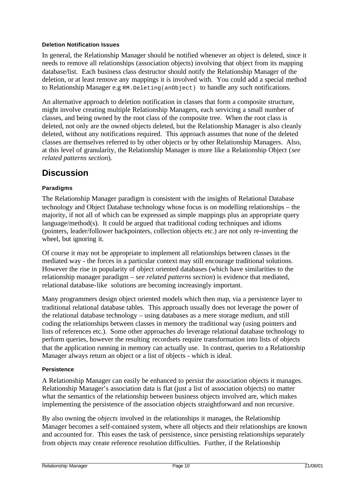#### **Deletion Notification Issues**

In general, the Relationship Manager should be notified whenever an object is deleted, since it needs to remove all relationships (association objects) involving that object from its mapping database/list. Each business class destructor should notify the Relationship Manager of the deletion, or at least remove any mappings it is involved with. You could add a special method to Relationship Manager e.g RM.Deleting(anObject) to handle any such notifications.

An alternative approach to deletion notification in classes that form a composite structure, might involve creating multiple Relationship Managers, each servicing a small number of classes, and being owned by the root class of the composite tree. When the root class is deleted, not only are the owned objects deleted, but the Relationship Manager is also cleanly deleted, without any notifications required. This approach assumes that none of the deleted classes are themselves referred to by other objects or by other Relationship Managers. Also, at this level of granularity, the Relationship Manager is more like a Relationship Object (*see related patterns section*).

### **Discussion**

#### **Paradigms**

The Relationship Manager paradigm is consistent with the insights of Relational Database technology and Object Database technology whose focus is on modelling relationships – the majority, if not all of which can be expressed as simple mappings plus an appropriate query language/method(s). It could be argued that traditional coding techniques and idioms (pointers, leader/follower backpointers, collection objects etc.) are not only re-inventing the wheel, but ignoring it.

Of course it may not be appropriate to implement all relationships between classes in the mediated way - the forces in a particular context may still encourage traditional solutions. However the rise in popularity of object oriented databases (which have similarities to the relationship manager paradigm – *see related patterns section*) is evidence that mediated, relational database-like solutions are becoming increasingly important.

Many programmers design object oriented models which then map, via a persistence layer to traditional relational database tables. This approach usually does not leverage the power of the relational database technology – using databases as a mere storage medium, and still coding the relationships between classes in memory the traditional way (using pointers and lists of references etc.). Some other approaches *do* leverage relational database technology to perform queries, however the resulting recordsets require transformation into lists of objects that the application running in memory can actually use. In contrast, queries to a Relationship Manager always return an object or a list of objects - which is ideal.

#### **Persistence**

A Relationship Manager can easily be enhanced to persist the association objects it manages. Relationship Manager's association data is flat (just a list of association objects) no matter what the semantics of the relationship between business objects involved are, which makes implementing the persistence of the association objects straightforward and non recursive.

By also owning the *objects* involved in the relationships it manages, the Relationship Manager becomes a self-contained system, where all objects and their relationships are known and accounted for. This eases the task of persistence, since persisting relationships separately from objects may create reference resolution difficulties. Further, if the Relationship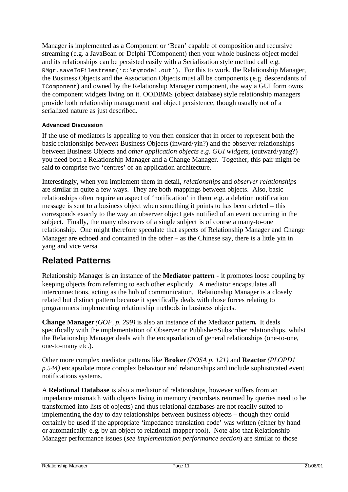Manager is implemented as a Component or 'Bean' capable of composition and recursive streaming (e.g. a JavaBean or Delphi TComponent) then your whole business object model and its relationships can be persisted easily with a Serialization style method call e.g. RMgr.saveToFilestream('c:\mymodel.out'). For this to work, the Relationship Manager, the Business Objects and the Association Objects must all be components (e.g. descendants of TComponent) and owned by the Relationship Manager component, the way a GUI form owns the component widgets living on it. OODBMS (object database) style relationship managers provide both relationship management and object persistence, though usually not of a serialized nature as just described.

#### **Advanced Discussion**

If the use of mediators is appealing to you then consider that in order to represent both the basic relationships *between* Business Objects (inward/yin?) and the observer relationships between Business Objects and *other application objects e.g. GUI widgets*, (outward/yang?) you need both a Relationship Manager and a Change Manager. Together, this pair might be said to comprise two 'centres' of an application architecture.

Interestingly, when you implement them in detail, *relationships* and *observer relationships* are similar in quite a few ways. They are both mappings between objects. Also, basic relationships often require an aspect of 'notification' in them e.g. a deletion notification message is sent to a business object when something it points to has been deleted – this corresponds exactly to the way an observer object gets notified of an event occurring in the subject. Finally, the many observers of a single subject is of course a many-to-one relationship. One might therefore speculate that aspects of Relationship Manager and Change Manager are echoed and contained in the other  $-$  as the Chinese say, there is a little yin in yang and vice versa.

# **Related Patterns**

Relationship Manager is an instance of the **Mediator pattern -** it promotes loose coupling by keeping objects from referring to each other explicitly. A mediator encapsulates all interconnections, acting as the hub of communication. Relationship Manager is a closely related but distinct pattern because it specifically deals with those forces relating to programmers implementing relationship methods in business objects.

**Change Manager** *(GOF, p. 299)* is also an instance of the Mediator pattern**.** It deals specifically with the implementation of Observer or Publisher/Subscriber relationships, whilst the Relationship Manager deals with the encapsulation of general relationships (one-to-one, one-to-many etc.).

Other more complex mediator patterns like **Broker** *(POSA p. 121)* and **Reactor** *(PLOPD1 p.544)* encapsulate more complex behaviour and relationships and include sophisticated event notifications systems.

A **Relational Database** is also a mediator of relationships, however suffers from an impedance mismatch with objects living in memory (recordsets returned by queries need to be transformed into lists of objects) and thus relational databases are not readily suited to implementing the day to day relationships between business objects – though they could certainly be used if the appropriate 'impedance translation code' was written (either by hand or automatically e.g. by an object to relational mapper tool). Note also that Relationship Manager performance issues (*see implementation performance section*) are similar to those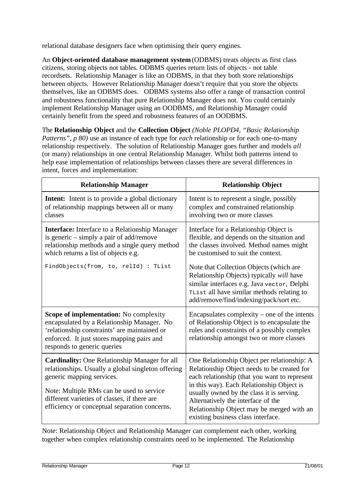relational database designers face when optimising their query engines.

An **Object-oriented database management system** (ODBMS) treats objects as first class citizens, storing objects not tables. ODBMS queries return lists of objects - not table recordsets. Relationship Manager is like an ODBMS, in that they both store relationships between objects. However Relationship Manager doesn't require that you store the objects themselves, like an ODBMS does. ODBMS systems also offer a range of transaction control and robustness functionality that pure Relationship Manager does not. You could certainly implement Relationship Manager using an OODBMS, and Relationship Manager could certainly benefit from the speed and robustness features of an OODBMS.

The **Relationship Object** and the **Collection Object** *(Noble PLOPD4, "Basic Relationship Patterns", p 80)* use an instance of each type for *each* relationship or for each one-to-many relationship respectively. The solution of Relationship Manager goes further and models *all* (or many) relationships in one central Relationship Manager. Whilst both patterns intend to help ease implementation of relationships between classes there are several differences in intent, forces and implementation:

| <b>Relationship Manager</b>                                                                                                                                                                                                                                                           | <b>Relationship Object</b>                                                                                                                                                                                                                                                                                                                                     |
|---------------------------------------------------------------------------------------------------------------------------------------------------------------------------------------------------------------------------------------------------------------------------------------|----------------------------------------------------------------------------------------------------------------------------------------------------------------------------------------------------------------------------------------------------------------------------------------------------------------------------------------------------------------|
| <b>Intent:</b> Intent is to provide a global dictionary<br>of relationship mappings between all or many<br>classes                                                                                                                                                                    | Intent is to represent a single, possibly<br>complex and constrained relationship<br>involving two or more classes                                                                                                                                                                                                                                             |
| <b>Interface:</b> Interface to a Relationship Manager<br>is generic $-$ simply a pair of add/remove<br>relationship methods and a single query method<br>which returns a list of objects e.g.                                                                                         | Interface for a Relationship Object is<br>flexible, and depends on the situation and<br>the classes involved. Method names might<br>be customised to suit the context.                                                                                                                                                                                         |
| FindObjects(from, to, relId) : TList                                                                                                                                                                                                                                                  | Note that Collection Objects (which are<br>Relationship Objects) typically will have<br>similar interfaces e.g. Java vector, Delphi<br>TList all have similar methods relating to<br>add/remove/find/indexing/pack/sort etc.                                                                                                                                   |
| Scope of implementation: No complexity<br>encapsulated by a Relationship Manager. No<br>'relationship constraints' are maintained or<br>enforced. It just stores mapping pairs and<br>responds to generic queries                                                                     | Encapsulates complexity – one of the intents<br>of Relationship Object is to encapsulate the<br>rules and constraints of a possibly complex<br>relationship amongst two or more classes                                                                                                                                                                        |
| <b>Cardinality:</b> One Relationship Manager for all<br>relationships. Usually a global singleton offering<br>generic mapping services.<br>Note: Multiple RMs can be used to service<br>different varieties of classes, if there are<br>efficiency or conceptual separation concerns. | One Relationship Object per relationship: A<br>Relationship Object needs to be created for<br>each relationship (that you want to represent<br>in this way). Each Relationship Object is<br>usually owned by the class it is serving.<br>Alternatively the interface of the<br>Relationship Object may be merged with an<br>existing business class interface. |

Note: Relationship Object and Relationship Manager can complement each other, working together when complex relationship constraints need to be implemented. The Relationship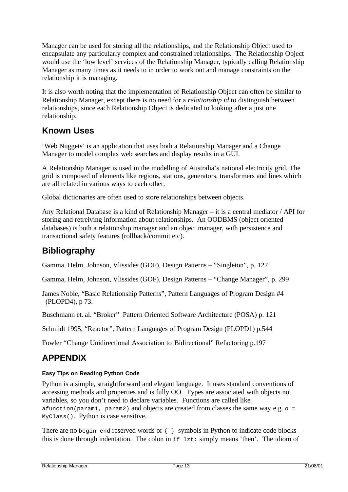Manager can be used for storing all the relationships, and the Relationship Object used to encapsulate any particularly complex and constrained relationships. The Relationship Object would use the 'low level' services of the Relationship Manager, typically calling Relationship Manager as many times as it needs to in order to work out and manage constraints on the relationship it is managing.

It is also worth noting that the implementation of Relationship Object can often be similar to Relationship Manager, except there is no need for a *relationship id* to distinguish between relationships, since each Relationship Object is dedicated to looking after a just one relationship.

# **Known Uses**

'Web Nuggets' is an application that uses both a Relationship Manager and a Change Manager to model complex web searches and display results in a GUI.

A Relationship Manager is used in the modelling of Australia's national electricity grid. The grid is composed of elements like regions, stations, generators, transformers and lines which are all related in various ways to each other.

Global dictionaries are often used to store relationships between objects.

Any Relational Database is a kind of Relationship Manager – it is a central mediator / API for storing and retreiving information about relationships. An OODBMS (object oriented databases) is both a relationship manager and an object manager, with persistence and transactional safety features (rollback/commit etc).

# **Bibliography**

Gamma, Helm, Johnson, Vlissides (GOF), Design Patterns – "Singleton", p. 127

Gamma, Helm, Johnson, Vlissides (GOF), Design Patterns – "Change Manager", p. 299

James Noble, "Basic Relationship Patterns", Pattern Languages of Program Design #4 (PLOPD4), p 73.

Buschmann et. al. "Broker" Pattern Oriented Software Architecture (POSA) p. 121

Schmidt 1995, "Reactor", Pattern Languages of Program Design (PLOPD1) p.544

Fowler "Change Unidirectional Association to Bidirectional" Refactoring p.197

# **APPENDIX**

#### **Easy Tips on Reading Python Code**

Python is a simple, straightforward and elegant language. It uses standard conventions of accessing methods and properties and is fully OO. Types are associated with objects not variables, so you don't need to declare variables. Functions are called like afunction(param1, param2) and objects are created from classes the same way e.g.  $\circ$  = MyClass(). Python is case sensitive.

There are no begin end reserved words or  $\{\}$  symbols in Python to indicate code blocks – this is done through indentation. The colon in  $if$   $1zt:$  simply means 'then'. The idiom of